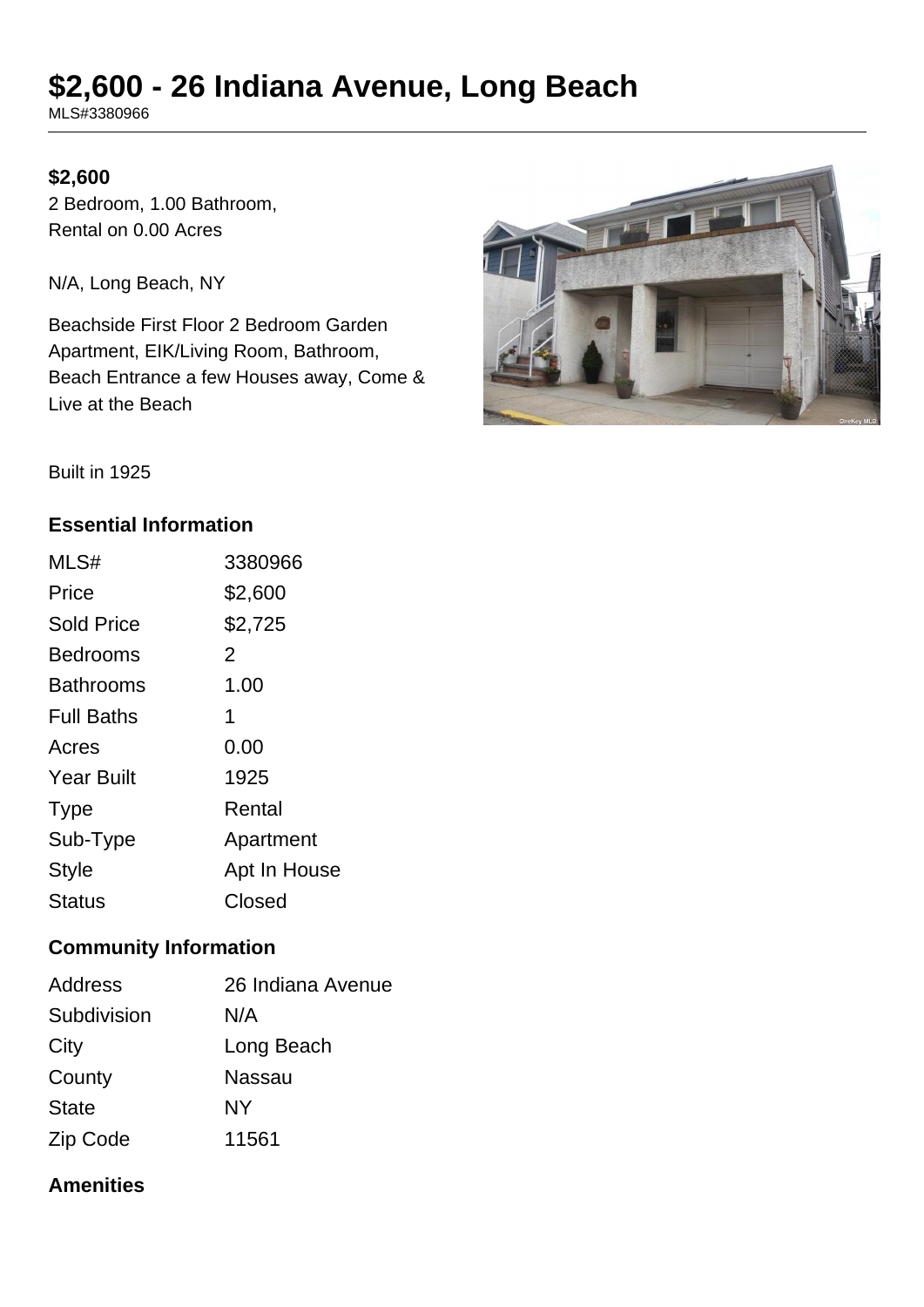# **\$2,600 - 26 Indiana Avenue, Long Beach**

MLS#3380966

## **\$2,600**

2 Bedroom, 1.00 Bathroom, Rental on 0.00 Acres

N/A, Long Beach, NY

Beachside First Floor 2 Bedroom Garden Apartment, EIK/Living Room, Bathroom, Beach Entrance a few Houses away, Come & Live at the Beach



Built in 1925

## **Essential Information**

| MLS#              | 3380966      |
|-------------------|--------------|
| Price             | \$2,600      |
| <b>Sold Price</b> | \$2,725      |
| <b>Bedrooms</b>   | 2            |
| <b>Bathrooms</b>  | 1.00         |
| <b>Full Baths</b> | 1            |
| Acres             | 0.00         |
| <b>Year Built</b> | 1925         |
| <b>Type</b>       | Rental       |
| Sub-Type          | Apartment    |
| <b>Style</b>      | Apt In House |
| <b>Status</b>     | Closed       |

## **Community Information**

| <b>Address</b> | 26 Indiana Avenue |
|----------------|-------------------|
| Subdivision    | N/A               |
| City           | Long Beach        |
| County         | Nassau            |
| <b>State</b>   | NΥ                |
| Zip Code       | 11561             |

## **Amenities**